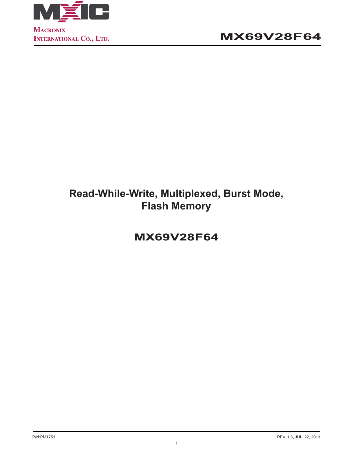

# **Read-While-Write, Multiplexed, Burst Mode, Flash Memory**

**MX69V28F64**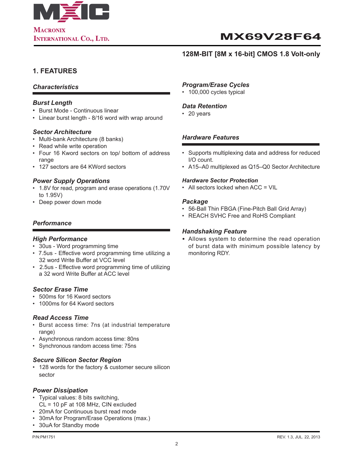

### **128M-BIT [8M x 16-bit] CMOS 1.8 Volt-only**

## **1. FEATURES**

### *Characteristics*

#### *Burst Length*

- Burst Mode Continuous linear
- Linear burst length 8/16 word with wrap around

#### *Sector Architecture*

- Multi-bank Architecture (8 banks)
- Read while write operation
- Four 16 Kword sectors on top/ bottom of address range
- 127 sectors are 64 KWord sectors

#### *Power Supply Operations*

- 1.8V for read, program and erase operations (1.70V to 1.95V)
- Deep power down mode

### *Performance*

#### *High Performance*

- 30us Word programming time
- 7.5us Effective word programming time utilizing a 32 word Write Buffer at VCC level
- 2.5us Effective word programming time of utilizing a 32 word Write Buffer at ACC level

#### *Sector Erase Time*

- 500ms for 16 Kword sectors
- 1000ms for 64 Kword sectors

#### *Read Access Time*

- Burst access time: 7ns (at industrial temperature range)
- Asynchronous random access time: 80ns
- Synchronous random access time: 75ns

#### *Secure Silicon Sector Region*

• 128 words for the factory & customer secure silicon sector

#### *Power Dissipation*

- Typical values: 8 bits switching, CL = 10 pF at 108 MHz, CIN excluded
- 20mA for Continuous burst read mode
- 30mA for Program/Erase Operations (max.)
- 30uA for Standby mode

#### *Program/Erase Cycles*

• 100,000 cycles typical

#### *Data Retention*

• 20 years

#### *Hardware Features*

- Supports multiplexing data and address for reduced I/O count.
- A15–A0 multiplexed as Q15–Q0 Sector Architecture

#### *Hardware Sector Protection*

• All sectors locked when ACC = VIL

#### *Package*

- 56-Ball Thin FBGA (Fine-Pitch Ball Grid Array)
- REACH SVHC Free and RoHS Compliant

#### *Handshaking Feature*

*•* Allows system to determine the read operation of burst data with minimum possible latency by monitoring RDY.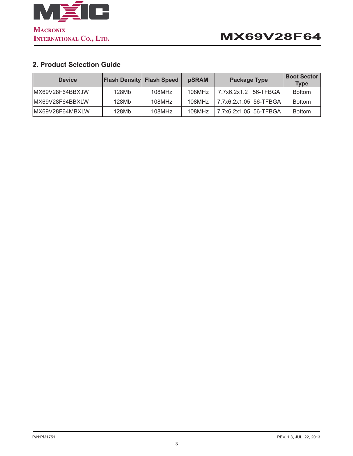

## **2. Product Selection Guide**

| <b>Device</b>    | <b>Flash Density Flash Speed</b> |        | pSRAM  | <b>Package Type</b>     | <b>Boot Sector</b><br><b>Type</b> |
|------------------|----------------------------------|--------|--------|-------------------------|-----------------------------------|
| IMX69V28F64BBXJW | 128Mb                            | 108MHz | 108MHz | 7.7x6.2x1.2<br>56-TFBGA | <b>Bottom</b>                     |
| IMX69V28F64BBXLW | 128Mb                            | 108MHz | 108MHz |                         | <b>Bottom</b>                     |
| IMX69V28F64MBXLW | 128Mb                            | 108MHz | 108MHz | 7.7x6.2x1.05 56-TFBGA   | <b>Bottom</b>                     |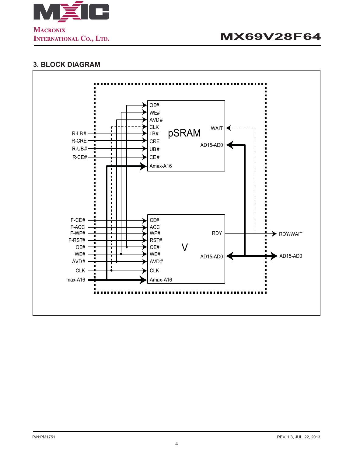

## **3. BLOCK DIAGRAM**

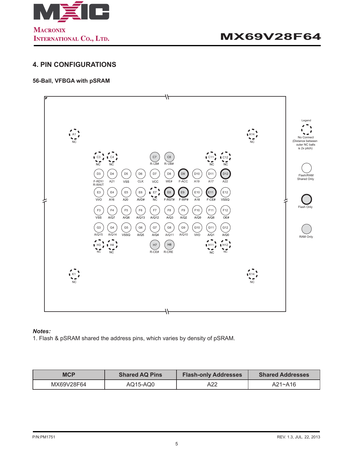

### **4. PIN CONFIGURATIONS**

#### **56-Ball, VFBGA with pSRAM**



#### *Notes:*

1. Flash & pSRAM shared the address pins, which varies by density of pSRAM.

| <b>MCP</b> | <b>Shared AQ Pins</b> | <b>Flash-only Addresses</b> | <b>Shared Addresses</b> |
|------------|-----------------------|-----------------------------|-------------------------|
| MX69V28F64 | AQ15-AQ0              | A22                         | A21~A16                 |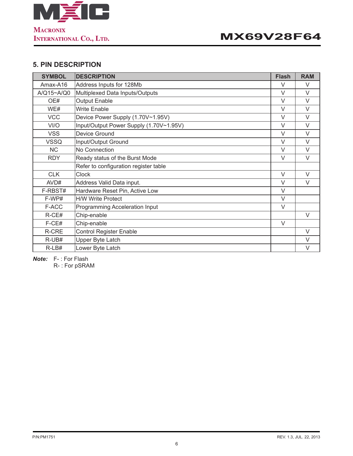

## **5. PIN DESCRIPTION**

| <b>SYMBOL</b> | <b>DESCRIPTION</b>                      | <b>Flash</b> | <b>RAM</b> |
|---------------|-----------------------------------------|--------------|------------|
| Amax-A16      | Address Inputs for 128Mb                | V            | $\vee$     |
| A/Q15~A/Q0    | Multiplexed Data Inputs/Outputs         | $\vee$       | $\vee$     |
| OE#           | <b>Output Enable</b>                    | $\vee$       | V          |
| WE#           | <b>Write Enable</b>                     | $\vee$       | $\vee$     |
| <b>VCC</b>    | Device Power Supply (1.70V~1.95V)       | $\vee$       | $\vee$     |
| VI/O          | Input/Output Power Supply (1.70V~1.95V) | V            | V          |
| <b>VSS</b>    | Device Ground                           | $\vee$       | $\vee$     |
| <b>VSSQ</b>   | Input/Output Ground                     | $\vee$       | $\vee$     |
| <b>NC</b>     | No Connection                           | $\vee$       | $\vee$     |
| <b>RDY</b>    | Ready status of the Burst Mode          | $\vee$       | $\vee$     |
|               | Refer to configuration register table   |              |            |
| <b>CLK</b>    | <b>Clock</b>                            | $\vee$       | $\vee$     |
| AVD#          | Address Valid Data input.               | $\vee$       | $\vee$     |
| F-RBST#       | Hardware Reset Pin, Active Low          | $\vee$       |            |
| F-WP#         | <b>H/W Write Protect</b>                | $\vee$       |            |
| F-ACC         | Programming Acceleration Input          | $\vee$       |            |
| R-CE#         | Chip-enable                             |              | V          |
| F-CE#         | Chip-enable                             | $\vee$       |            |
| R-CRE         | <b>Control Register Enable</b>          |              | $\vee$     |
| R-UB#         | Upper Byte Latch                        |              | V          |
| $R-LB#$       | Lower Byte Latch                        |              | $\vee$     |

*Note:* F- : For Flash

R- : For pSRAM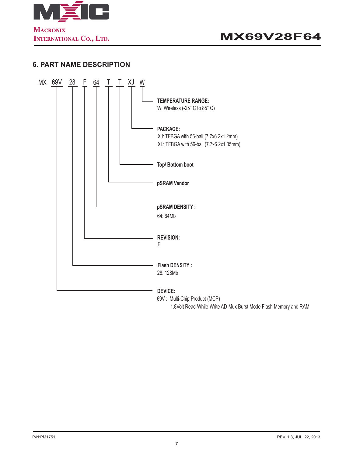

### **6. PART NAME DESCRIPTION**



1.8Volt Read-While-Write AD-Mux Burst Mode Flash Memory and RAM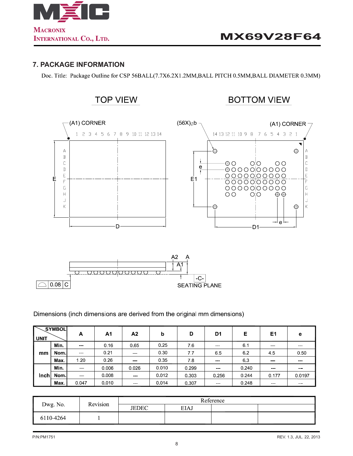

### **7. PACKAGE INFORMATION**

Doc. Title: Package Outline for CSP 56BALL(7.7X6.2X1.2MM,BALL PITCH 0.5MM,BALL DIAMETER 0.3MM)



**SEATING PLANE** 

Dimensions (inch dimensions are derived from the original mm dimensions)

| <b>UNIT</b> | SYMBOL | Α             | A1    | A2                                                                                                                        | b     | D     | D <sub>1</sub>                                                                                                                                                                                                                                                                                                                                                                                                                                                             | Е     | E1                                                                                                                                                                                                                                                                                                                                                                                                                                                                              | e                 |
|-------------|--------|---------------|-------|---------------------------------------------------------------------------------------------------------------------------|-------|-------|----------------------------------------------------------------------------------------------------------------------------------------------------------------------------------------------------------------------------------------------------------------------------------------------------------------------------------------------------------------------------------------------------------------------------------------------------------------------------|-------|---------------------------------------------------------------------------------------------------------------------------------------------------------------------------------------------------------------------------------------------------------------------------------------------------------------------------------------------------------------------------------------------------------------------------------------------------------------------------------|-------------------|
|             | Min.   | ---           | 0.16  | 0.65                                                                                                                      | 0.25  | 7.6   | $\frac{1}{2} \left( \frac{1}{2} \right) \left( \frac{1}{2} \right) \left( \frac{1}{2} \right) \left( \frac{1}{2} \right) \left( \frac{1}{2} \right) \left( \frac{1}{2} \right) \left( \frac{1}{2} \right) \left( \frac{1}{2} \right) \left( \frac{1}{2} \right) \left( \frac{1}{2} \right) \left( \frac{1}{2} \right) \left( \frac{1}{2} \right) \left( \frac{1}{2} \right) \left( \frac{1}{2} \right) \left( \frac{1}{2} \right) \left( \frac{1}{2} \right) \left( \frac$ | 6.1   | $\frac{1}{2} \left( \frac{1}{2} \right) \left( \frac{1}{2} \right) \left( \frac{1}{2} \right) \left( \frac{1}{2} \right)$                                                                                                                                                                                                                                                                                                                                                       | <b>CONTRACTOR</b> |
| mm          | Nom l  | $\sim$        | 0.21  | $\frac{1}{2} \left( \frac{1}{2} \right) \left( \frac{1}{2} \right) \left( \frac{1}{2} \right) \left( \frac{1}{2} \right)$ | 0.30  | 7.7   | 65                                                                                                                                                                                                                                                                                                                                                                                                                                                                         | 62    | 45                                                                                                                                                                                                                                                                                                                                                                                                                                                                              | 0.50              |
|             | Max.   | 1.20          | 0.26  | <b>STATISTICS</b>                                                                                                         | 0.35  | 78    | <b>STATISTICS</b>                                                                                                                                                                                                                                                                                                                                                                                                                                                          | 63    | $\label{eq:1} \begin{array}{lllllllllll} \multicolumn{3}{l}{} & \multicolumn{3}{l}{} & \multicolumn{3}{l}{} & \multicolumn{3}{l}{} & \multicolumn{3}{l}{} & \multicolumn{3}{l}{} & \multicolumn{3}{l}{} & \multicolumn{3}{l}{} & \multicolumn{3}{l}{} & \multicolumn{3}{l}{} & \multicolumn{3}{l}{} & \multicolumn{3}{l}{} & \multicolumn{3}{l}{} & \multicolumn{3}{l}{} & \multicolumn{3}{l}{} & \multicolumn{3}{l}{} & \multicolumn{3}{l}{} & \multicolumn{3}{l}{} & \multic$ | <b>CONTRACTOR</b> |
|             | Min.   | $\sim$ $\sim$ | 0.006 | 0.026                                                                                                                     | 0.010 | 0.299 | <b>STATISTICS</b>                                                                                                                                                                                                                                                                                                                                                                                                                                                          | 0.240 | $\frac{1}{2} \left( \frac{1}{2} \right) \left( \frac{1}{2} \right) \left( \frac{1}{2} \right) \left( \frac{1}{2} \right)$                                                                                                                                                                                                                                                                                                                                                       | $- - -$           |
| Inch        | Nom l  | $-$           | 0.008 | $\sim$ $\sim$                                                                                                             | 0.012 | 0.303 | 0.256                                                                                                                                                                                                                                                                                                                                                                                                                                                                      | 0.244 | 0.177                                                                                                                                                                                                                                                                                                                                                                                                                                                                           | 0.0197            |
|             | Max.   | 0.047         | 0.010 | <b>CONTRACTOR</b>                                                                                                         | 0.014 | 0.307 | <b>STATISTICS</b>                                                                                                                                                                                                                                                                                                                                                                                                                                                          | 0.248 | ---                                                                                                                                                                                                                                                                                                                                                                                                                                                                             | $- - -$           |

| Dwg. No.  | Revision |              |             |  |  |
|-----------|----------|--------------|-------------|--|--|
|           |          | <b>JEDEC</b> | <b>EIAJ</b> |  |  |
| 6110-4264 |          |              |             |  |  |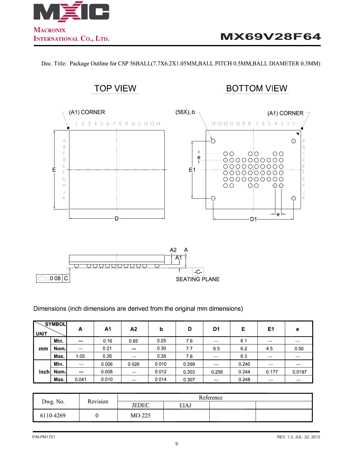

Doc. Title: Package Outline for CSP 56BALL(7.7X6.2X1.05MM,BALL PITCH 0.5MM,BALL DIAMETER 0.3MM)



Dimensions (inch dimensions are derived from the original mm dimensions)

| <b>UNIT</b> | <b>SYMBOL</b> | А             | Α1    | A <sub>2</sub> | b     | D     | D <sub>1</sub>                                                                                                            | Е     | E1                                                                                                                                                                                                                                                                                                                                                                                                                                                                              | e                                                                                                                         |
|-------------|---------------|---------------|-------|----------------|-------|-------|---------------------------------------------------------------------------------------------------------------------------|-------|---------------------------------------------------------------------------------------------------------------------------------------------------------------------------------------------------------------------------------------------------------------------------------------------------------------------------------------------------------------------------------------------------------------------------------------------------------------------------------|---------------------------------------------------------------------------------------------------------------------------|
|             | Min.          | $\sim$ $\sim$ | 0.16  | 0.65           | 0.25  | 76    | $\frac{1}{2} \left( \frac{1}{2} \right) \left( \frac{1}{2} \right) \left( \frac{1}{2} \right) \left( \frac{1}{2} \right)$ | 6.1   | $- - -$                                                                                                                                                                                                                                                                                                                                                                                                                                                                         | $\frac{1}{2} \left( \frac{1}{2} \right) \left( \frac{1}{2} \right) \left( \frac{1}{2} \right) \left( \frac{1}{2} \right)$ |
| mm          | Nom l         | $\sim$ $\sim$ | 0.21  | $- - -$        | 0.30  | 7.7   | 65                                                                                                                        | 6.2   | 45                                                                                                                                                                                                                                                                                                                                                                                                                                                                              | 0.50                                                                                                                      |
|             | Max.          | 1.05          | 0.26  | ---            | 0.35  | 7.8   | <b>STATISTICS</b>                                                                                                         | 63    | $\label{eq:1} \begin{array}{lllllllllll} \multicolumn{3}{l}{} & \multicolumn{3}{l}{} & \multicolumn{3}{l}{} & \multicolumn{3}{l}{} & \multicolumn{3}{l}{} & \multicolumn{3}{l}{} & \multicolumn{3}{l}{} & \multicolumn{3}{l}{} & \multicolumn{3}{l}{} & \multicolumn{3}{l}{} & \multicolumn{3}{l}{} & \multicolumn{3}{l}{} & \multicolumn{3}{l}{} & \multicolumn{3}{l}{} & \multicolumn{3}{l}{} & \multicolumn{3}{l}{} & \multicolumn{3}{l}{} & \multicolumn{3}{l}{} & \multic$ | <b>CONTRACTOR</b>                                                                                                         |
|             | Min.          | $- - -$       | 0.006 | 0.026          | 0.010 | 0.299 | <b>CONTRACTOR</b>                                                                                                         | 0.240 | $\frac{1}{2} \left( \frac{1}{2} \right) \left( \frac{1}{2} \right) \left( \frac{1}{2} \right) \left( \frac{1}{2} \right)$                                                                                                                                                                                                                                                                                                                                                       | <b>CONTRACTOR</b>                                                                                                         |
| Inch        | Nom l         | $- - -$       | 0.008 | $- - -$        | 0.012 | 0.303 | 0.256                                                                                                                     | 0.244 | 0.177                                                                                                                                                                                                                                                                                                                                                                                                                                                                           | 0.0197                                                                                                                    |
|             | Max.          | 0.041         | 0.010 | $- - -$        | 0.014 | 0.307 | <b>CONTRACTOR</b>                                                                                                         | 0.248 | <b>STATISTICS</b>                                                                                                                                                                                                                                                                                                                                                                                                                                                               | $\frac{1}{2} \left( \frac{1}{2} \right) \left( \frac{1}{2} \right) \left( \frac{1}{2} \right) \left( \frac{1}{2} \right)$ |

| Dwg. No.  | Revision | Reference    |             |  |  |  |
|-----------|----------|--------------|-------------|--|--|--|
|           |          | <b>JEDEC</b> | <b>EIAJ</b> |  |  |  |
| 6110-4269 |          | $MO-225$     |             |  |  |  |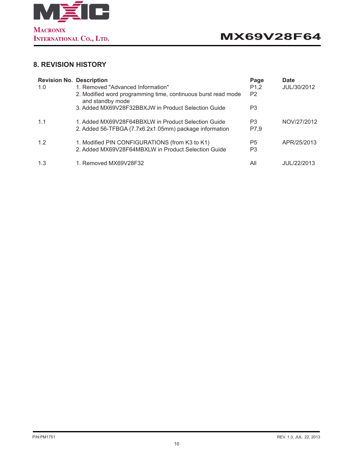

## **8. REVISION HISTORY**

| <b>Revision No. Description</b><br>1.0 | 1. Removed "Advanced Information"<br>2. Modified word programming time, continuous burst read mode<br>and standby mode<br>3. Added MX69V28F32BBXJW in Product Selection Guide | Page<br>P <sub>1</sub> ,2<br>P <sub>2</sub><br>P3 | Date<br>JUL/30/2012 |
|----------------------------------------|-------------------------------------------------------------------------------------------------------------------------------------------------------------------------------|---------------------------------------------------|---------------------|
| 1.1                                    | 1. Added MX69V28F64BBXLW in Product Selection Guide<br>2. Added 56-TFBGA (7.7x6.2x1.05mm) package information                                                                 | P3<br>P7,9                                        | NOV/27/2012         |
| 1.2                                    | 1. Modified PIN CONFIGURATIONS (from K3 to K1)<br>2. Added MX69V28F64MBXLW in Product Selection Guide                                                                         | P <sub>5</sub><br>P3                              | APR/25/2013         |
| 1.3                                    | 1. Removed MX69V28F32                                                                                                                                                         | All                                               | JUL/22/2013         |